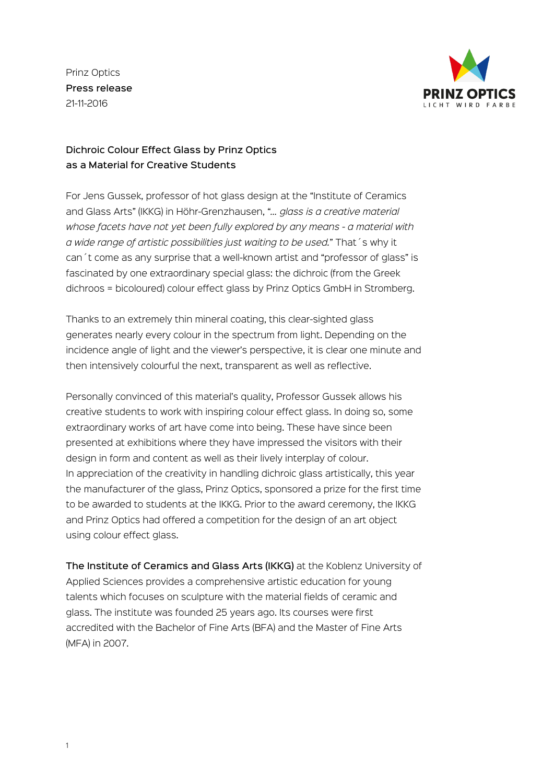Prinz Optics Press release 21-11-2016



## Dichroic Colour Effect Glass by Prinz Optics as a Material for Creative Students

For Jens Gussek, professor of hot glass design at the "Institute of Ceramics and Glass Arts" (IKKG) in Höhr-Grenzhausen, "*… glass is a creative material whose facets have not yet been fully explored by any means - a material with a wide range of artistic possibilities just waiting to be used.*" That´s why it can´t come as any surprise that a well-known artist and "professor of glass" is fascinated by one extraordinary special glass: the dichroic (from the Greek dichroos = bicoloured) colour effect glass by Prinz Optics GmbH in Stromberg.

Thanks to an extremely thin mineral coating, this clear-sighted glass generates nearly every colour in the spectrum from light. Depending on the incidence angle of light and the viewer's perspective, it is clear one minute and then intensively colourful the next, transparent as well as reflective.

Personally convinced of this material's quality, Professor Gussek allows his creative students to work with inspiring colour effect glass. In doing so, some extraordinary works of art have come into being. These have since been presented at exhibitions where they have impressed the visitors with their design in form and content as well as their lively interplay of colour. In appreciation of the creativity in handling dichroic glass artistically, this year the manufacturer of the glass, Prinz Optics, sponsored a prize for the first time to be awarded to students at the IKKG. Prior to the award ceremony, the IKKG and Prinz Optics had offered a competition for the design of an art object using colour effect glass.

The Institute of Ceramics and Glass Arts (IKKG) at the Koblenz University of Applied Sciences provides a comprehensive artistic education for young talents which focuses on sculpture with the material fields of ceramic and glass. The institute was founded 25 years ago. Its courses were first accredited with the Bachelor of Fine Arts (BFA) and the Master of Fine Arts (MFA) in 2007.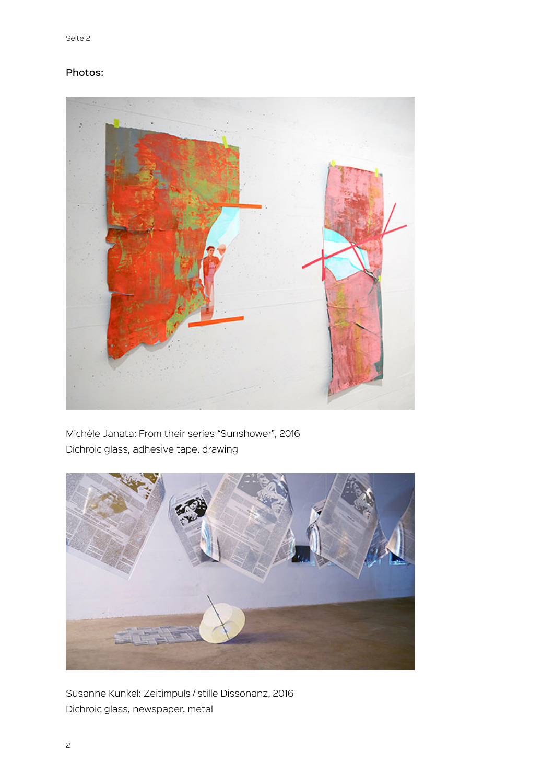## Photos:



Michèle Janata: From their series "Sunshower", 2016 Dichroic glass, adhesive tape, drawing



Susanne Kunkel: Zeitimpuls / stille Dissonanz, 2016 Dichroic glass, newspaper, metal